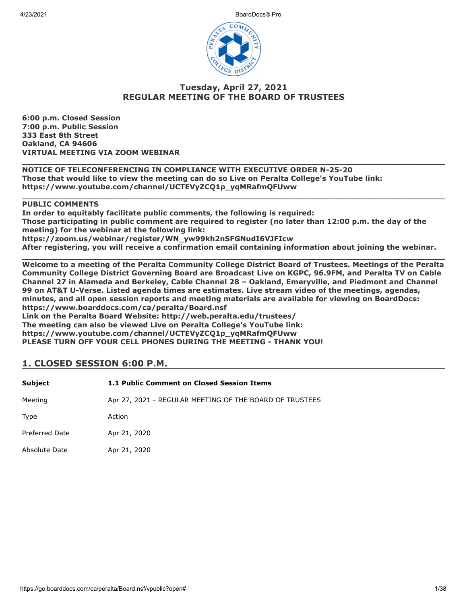

## **Tuesday, April 27, 2021 REGULAR MEETING OF THE BOARD OF TRUSTEES**

**6:00 p.m. Closed Session 7:00 p.m. Public Session 333 East 8th Street Oakland, CA 94606 VIRTUAL MEETING VIA ZOOM WEBINAR**

**\_\_\_\_\_\_\_\_\_\_\_\_\_\_\_\_\_\_\_\_\_\_\_\_\_\_\_\_\_\_\_\_\_\_\_\_\_\_\_\_\_\_\_\_\_\_\_\_\_\_\_\_\_\_\_\_\_\_\_\_\_\_\_\_\_\_\_\_\_\_\_\_\_\_\_\_\_\_\_\_\_\_\_\_\_ NOTICE OF TELECONFERENCING IN COMPLIANCE WITH EXECUTIVE ORDER N-25-20 Those that would like to view the meeting can do so Live on Peralta College's YouTube link: https://www.youtube.com/channel/UCTEVyZCQ1p\_yqMRafmQFUww**

#### **PUBLIC COMMENTS**

**In order to equitably facilitate public comments, the following is required: Those participating in public comment are required to register (no later than 12:00 p.m. the day of the meeting) for the webinar at the following link: https://zoom.us/webinar/register/WN\_yw99kh2nSFGNudI6VJFIcw After registering, you will receive a confirmation email containing information about joining the webinar.**

**\_\_\_\_\_\_\_\_\_\_\_\_\_\_\_\_\_\_\_\_\_\_\_\_\_\_\_\_\_\_\_\_\_\_\_\_\_\_\_\_\_\_\_\_\_\_\_\_\_\_\_\_\_\_\_\_\_\_\_\_\_\_\_\_\_\_\_\_\_\_\_\_\_\_\_\_\_\_\_\_\_\_\_\_\_**

**\_\_\_\_\_\_\_\_\_\_\_\_\_\_\_\_\_\_\_\_\_\_\_\_\_\_\_\_\_\_\_\_\_\_\_\_\_\_\_\_\_\_\_\_\_\_\_\_\_\_\_\_\_\_\_\_\_\_\_\_\_\_\_\_\_\_\_\_\_\_\_\_\_\_\_\_\_\_\_\_\_\_\_\_\_ Welcome to a meeting of the Peralta Community College District Board of Trustees. Meetings of the Peralta Community College District Governing Board are Broadcast Live on KGPC, 96.9FM, and Peralta TV on Cable Channel 27 in Alameda and Berkeley, Cable Channel 28 – Oakland, Emeryville, and Piedmont and Channel 99 on AT&T U-Verse. Listed agenda times are estimates. Live stream video of the meetings, agendas, minutes, and all open session reports and meeting materials are available for viewing on BoardDocs: https://www.boarddocs.com/ca/peralta/Board.nsf Link on the Peralta Board Website: http://web.peralta.edu/trustees/**

**The meeting can also be viewed Live on Peralta College's YouTube link: https://www.youtube.com/channel/UCTEVyZCQ1p\_yqMRafmQFUww PLEASE TURN OFF YOUR CELL PHONES DURING THE MEETING - THANK YOU!**

## **1. CLOSED SESSION 6:00 P.M.**

| <b>Subject</b> | 1.1 Public Comment on Closed Session Items              |
|----------------|---------------------------------------------------------|
| Meeting        | Apr 27, 2021 - REGULAR MEETING OF THE BOARD OF TRUSTEES |
| Type           | Action                                                  |
| Preferred Date | Apr 21, 2020                                            |
| Absolute Date  | Apr 21, 2020                                            |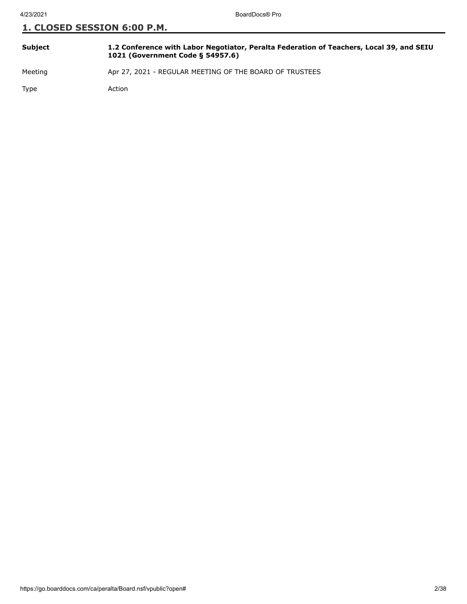| <b>Subject</b> | 1.2 Conference with Labor Negotiator, Peralta Federation of Teachers, Local 39, and SEIU<br>1021 (Government Code § 54957.6) |
|----------------|------------------------------------------------------------------------------------------------------------------------------|
|                |                                                                                                                              |

Meeting Apr 27, 2021 - REGULAR MEETING OF THE BOARD OF TRUSTEES

Type Action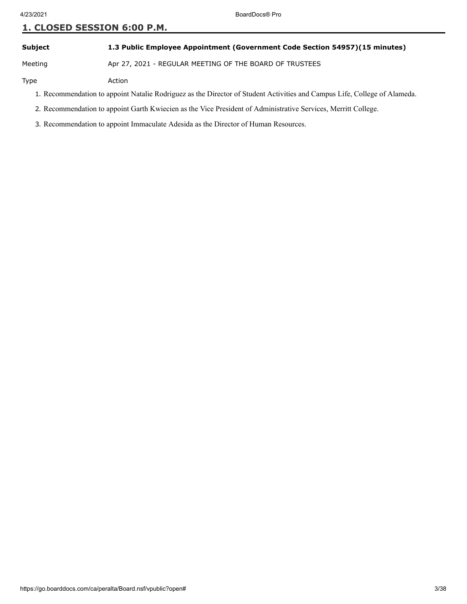### **Subject 1.3 Public Employee Appointment (Government Code Section 54957)(15 minutes)**

Meeting Apr 27, 2021 - REGULAR MEETING OF THE BOARD OF TRUSTEES

Type Action

- 1. Recommendation to appoint Natalie Rodriguez as the Director of Student Activities and Campus Life, College of Alameda.
- 2. Recommendation to appoint Garth Kwiecien as the Vice President of Administrative Services, Merritt College.
- 3. Recommendation to appoint Immaculate Adesida as the Director of Human Resources.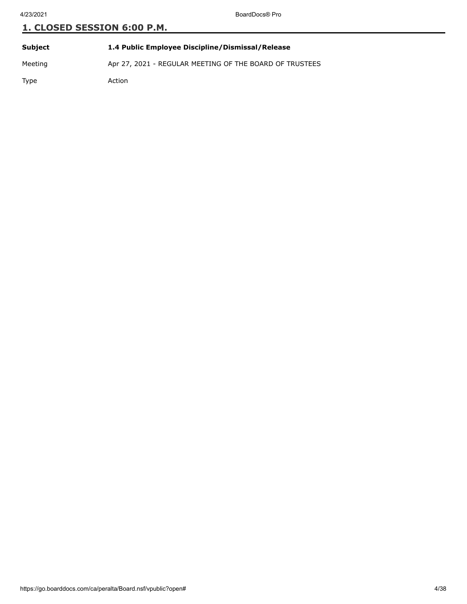| Subject | 1.4 Public Employee Discipline/Dismissal/Release        |
|---------|---------------------------------------------------------|
| Meeting | Apr 27, 2021 - REGULAR MEETING OF THE BOARD OF TRUSTEES |
| Type    | Action                                                  |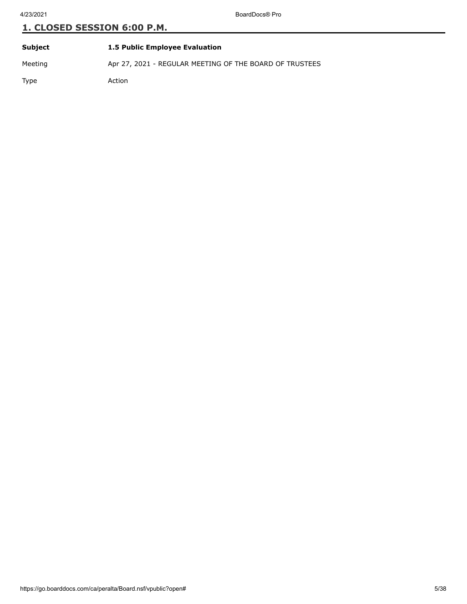| Subject | <b>1.5 Public Employee Evaluation</b>                   |
|---------|---------------------------------------------------------|
| Meeting | Apr 27, 2021 - REGULAR MEETING OF THE BOARD OF TRUSTEES |
| Type    | Action                                                  |

https://go.boarddocs.com/ca/peralta/Board.nsf/vpublic?open# 5/38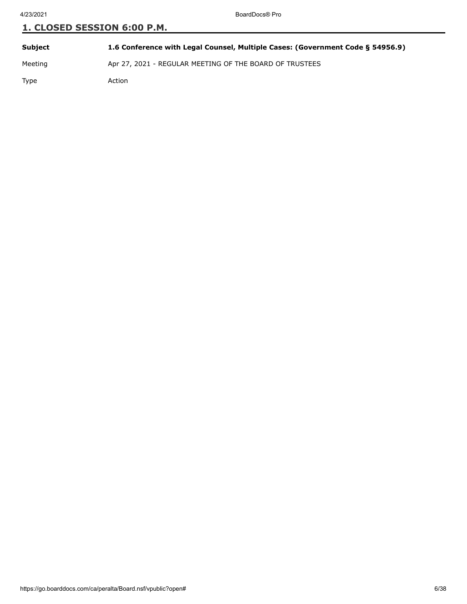| Subject | 1.6 Conference with Legal Counsel, Multiple Cases: (Government Code § 54956.9) |
|---------|--------------------------------------------------------------------------------|
| Meeting | Apr 27, 2021 - REGULAR MEETING OF THE BOARD OF TRUSTEES                        |
| Type    | Action                                                                         |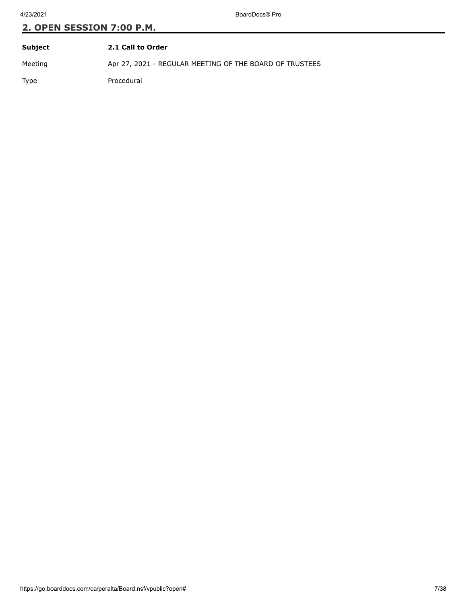| Subject | 2.1 Call to Order                                       |
|---------|---------------------------------------------------------|
| Meeting | Apr 27, 2021 - REGULAR MEETING OF THE BOARD OF TRUSTEES |
| Type    | Procedural                                              |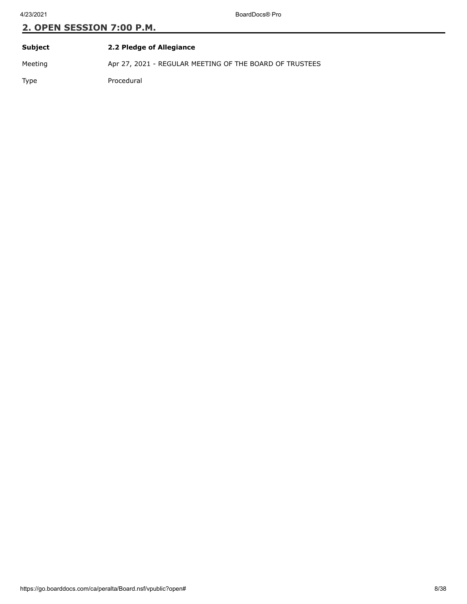| Subject | 2.2 Pledge of Allegiance                                |
|---------|---------------------------------------------------------|
| Meeting | Apr 27, 2021 - REGULAR MEETING OF THE BOARD OF TRUSTEES |
| Type    | Procedural                                              |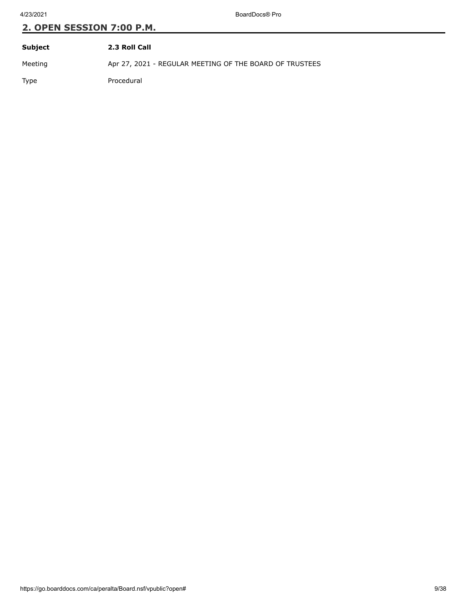| Subject     | 2.3 Roll Call                                           |
|-------------|---------------------------------------------------------|
| Meeting     | Apr 27, 2021 - REGULAR MEETING OF THE BOARD OF TRUSTEES |
| <b>Type</b> | Procedural                                              |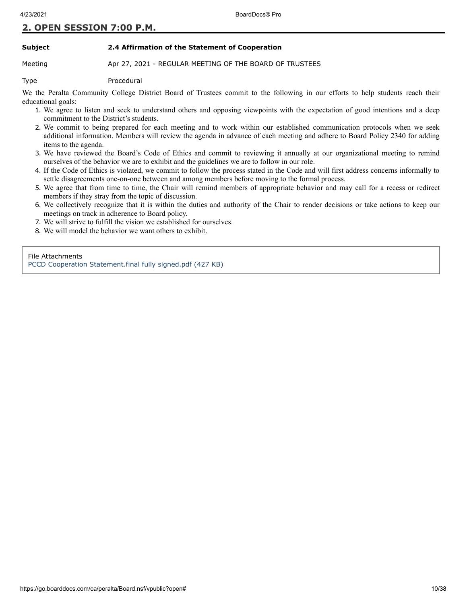#### **Subject 2.4 Affirmation of the Statement of Cooperation**

Meeting **Apr 27, 2021 - REGULAR MEETING OF THE BOARD OF TRUSTEES** 

Type Procedural

We the Peralta Community College District Board of Trustees commit to the following in our efforts to help students reach their educational goals:

- 1. We agree to listen and seek to understand others and opposing viewpoints with the expectation of good intentions and a deep commitment to the District's students.
- 2. We commit to being prepared for each meeting and to work within our established communication protocols when we seek additional information. Members will review the agenda in advance of each meeting and adhere to Board Policy 2340 for adding items to the agenda.
- 3. We have reviewed the Board's Code of Ethics and commit to reviewing it annually at our organizational meeting to remind ourselves of the behavior we are to exhibit and the guidelines we are to follow in our role.
- 4. If the Code of Ethics is violated, we commit to follow the process stated in the Code and will first address concerns informally to settle disagreements one-on-one between and among members before moving to the formal process.
- 5. We agree that from time to time, the Chair will remind members of appropriate behavior and may call for a recess or redirect members if they stray from the topic of discussion.
- 6. We collectively recognize that it is within the duties and authority of the Chair to render decisions or take actions to keep our meetings on track in adherence to Board policy.
- 7. We will strive to fulfill the vision we established for ourselves.
- 8. We will model the behavior we want others to exhibit.

File Attachments

[PCCD Cooperation Statement.final fully signed.pdf \(427 KB\)](https://go.boarddocs.com/ca/peralta/Board.nsf/files/C24QDY67B94E/$file/PCCD%20Cooperation%20Statement.final%20fully%20signed.pdf)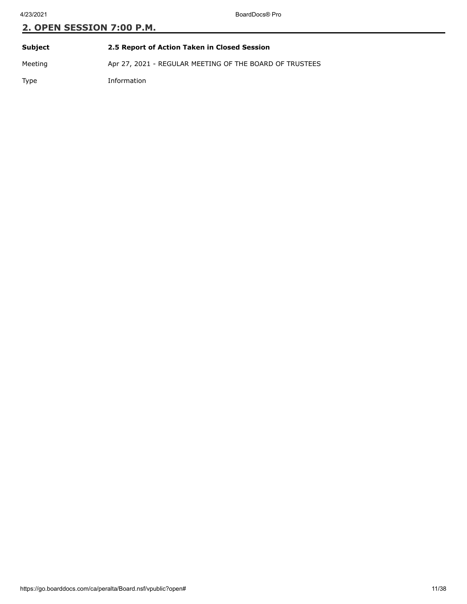| Subject     | 2.5 Report of Action Taken in Closed Session            |
|-------------|---------------------------------------------------------|
| Meeting     | Apr 27, 2021 - REGULAR MEETING OF THE BOARD OF TRUSTEES |
| <b>Type</b> | Information                                             |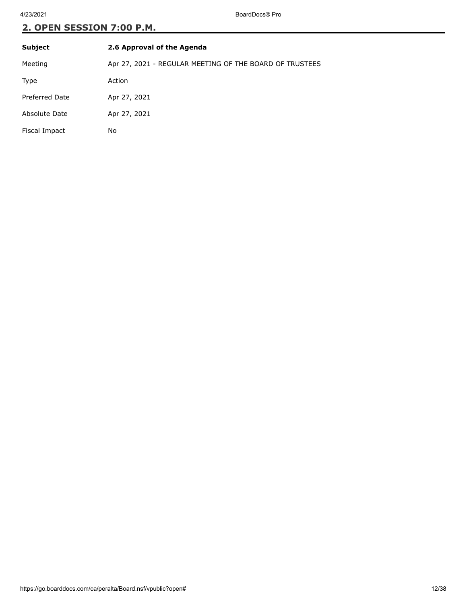| <b>Subject</b> | 2.6 Approval of the Agenda                              |
|----------------|---------------------------------------------------------|
| Meeting        | Apr 27, 2021 - REGULAR MEETING OF THE BOARD OF TRUSTEES |
| Type           | Action                                                  |
| Preferred Date | Apr 27, 2021                                            |
| Absolute Date  | Apr 27, 2021                                            |
| Fiscal Impact  | No                                                      |
|                |                                                         |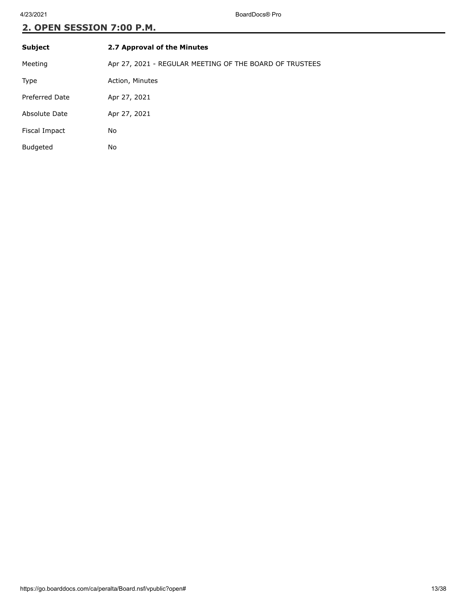| <b>Subject</b>        | 2.7 Approval of the Minutes                             |
|-----------------------|---------------------------------------------------------|
| Meeting               | Apr 27, 2021 - REGULAR MEETING OF THE BOARD OF TRUSTEES |
| Type                  | Action, Minutes                                         |
| <b>Preferred Date</b> | Apr 27, 2021                                            |
| Absolute Date         | Apr 27, 2021                                            |
| Fiscal Impact         | No                                                      |
| <b>Budgeted</b>       | No                                                      |
|                       |                                                         |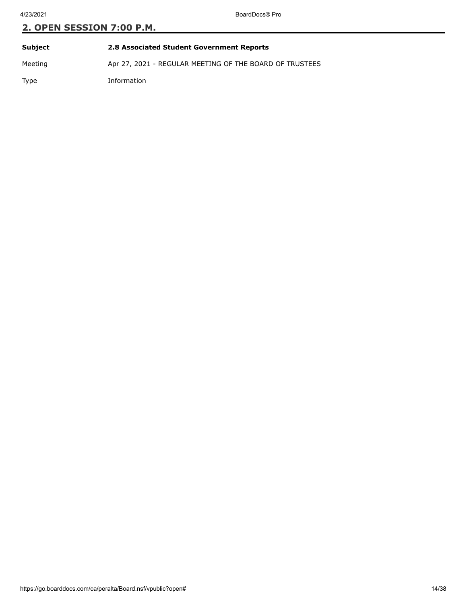| Subject     | 2.8 Associated Student Government Reports               |
|-------------|---------------------------------------------------------|
| Meeting     | Apr 27, 2021 - REGULAR MEETING OF THE BOARD OF TRUSTEES |
| <b>Type</b> | Information                                             |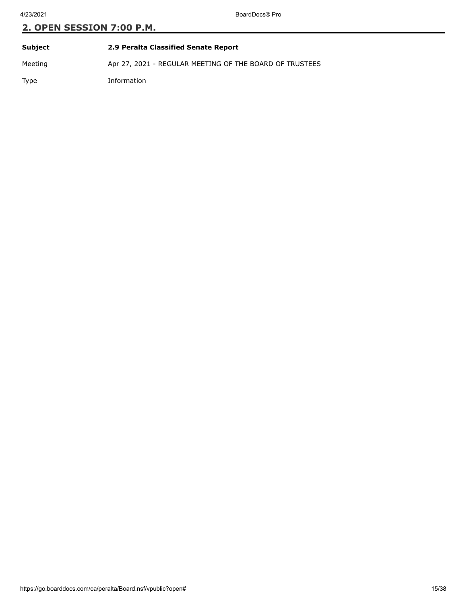| Subject     | 2.9 Peralta Classified Senate Report                    |
|-------------|---------------------------------------------------------|
| Meeting     | Apr 27, 2021 - REGULAR MEETING OF THE BOARD OF TRUSTEES |
| <b>Type</b> | Information                                             |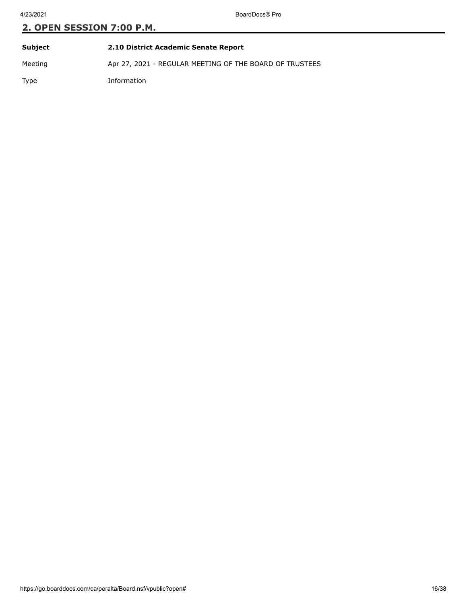| Subject     | 2.10 District Academic Senate Report                    |
|-------------|---------------------------------------------------------|
| Meeting     | Apr 27, 2021 - REGULAR MEETING OF THE BOARD OF TRUSTEES |
| <b>Type</b> | Information                                             |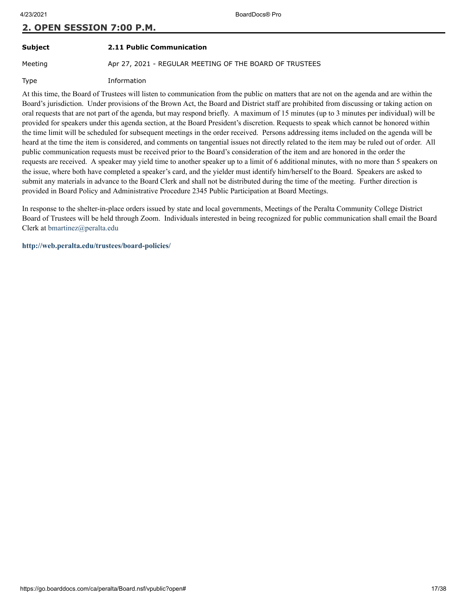# **Subject 2.11 Public Communication**

Meeting **Apr 27, 2021 - REGULAR MEETING OF THE BOARD OF TRUSTEES** 

Type Information

At this time, the Board of Trustees will listen to communication from the public on matters that are not on the agenda and are within the Board's jurisdiction. Under provisions of the Brown Act, the Board and District staff are prohibited from discussing or taking action on oral requests that are not part of the agenda, but may respond briefly. A maximum of 15 minutes (up to 3 minutes per individual) will be provided for speakers under this agenda section, at the Board President's discretion. Requests to speak which cannot be honored within the time limit will be scheduled for subsequent meetings in the order received. Persons addressing items included on the agenda will be heard at the time the item is considered, and comments on tangential issues not directly related to the item may be ruled out of order. All public communication requests must be received prior to the Board's consideration of the item and are honored in the order the requests are received. A speaker may yield time to another speaker up to a limit of 6 additional minutes, with no more than 5 speakers on the issue, where both have completed a speaker's card, and the yielder must identify him/herself to the Board. Speakers are asked to submit any materials in advance to the Board Clerk and shall not be distributed during the time of the meeting. Further direction is provided in Board Policy and Administrative Procedure 2345 Public Participation at Board Meetings.

In response to the shelter-in-place orders issued by state and local governments, Meetings of the Peralta Community College District Board of Trustees will be held through Zoom. Individuals interested in being recognized for public communication shall email the Board Clerk at [bmartinez@peralta.edu](mailto:BMARTINEZ@PERALTA.EDU)

**<http://web.peralta.edu/trustees/board-policies/>**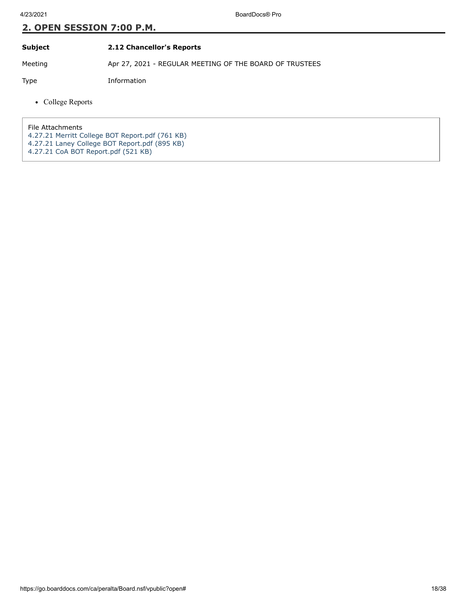**Subject 2.12 Chancellor's Reports**

Meeting Apr 27, 2021 - REGULAR MEETING OF THE BOARD OF TRUSTEES

Type Information

• College Reports

File Attachments

[4.27.21 Merritt College BOT Report.pdf \(761 KB\)](https://go.boarddocs.com/ca/peralta/Board.nsf/files/C29SD9722420/$file/4.27.21%20Merritt%20College%20BOT%20Report.pdf)

- [4.27.21 Laney College BOT Report.pdf \(895 KB\)](https://go.boarddocs.com/ca/peralta/Board.nsf/files/C2AFMV3FD71A/$file/4.27.21%20Laney%20College%20BOT%20Report.pdf)
- [4.27.21 CoA BOT Report.pdf \(521 KB\)](https://go.boarddocs.com/ca/peralta/Board.nsf/files/C2AVUZ828327/$file/4.27.21%20CoA%20BOT%20Report.pdf)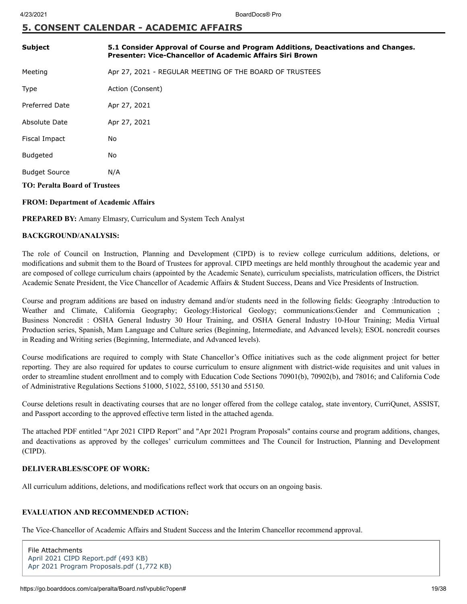## **5. CONSENT CALENDAR - ACADEMIC AFFAIRS**

| <b>Subject</b>                       | 5.1 Consider Approval of Course and Program Additions, Deactivations and Changes.<br><b>Presenter: Vice-Chancellor of Academic Affairs Siri Brown</b> |  |
|--------------------------------------|-------------------------------------------------------------------------------------------------------------------------------------------------------|--|
| Meeting                              | Apr 27, 2021 - REGULAR MEETING OF THE BOARD OF TRUSTEES                                                                                               |  |
| Type                                 | Action (Consent)                                                                                                                                      |  |
| <b>Preferred Date</b>                | Apr 27, 2021                                                                                                                                          |  |
| Absolute Date                        | Apr 27, 2021                                                                                                                                          |  |
| Fiscal Impact                        | No                                                                                                                                                    |  |
| <b>Budgeted</b>                      | No                                                                                                                                                    |  |
| <b>Budget Source</b>                 | N/A                                                                                                                                                   |  |
| <b>TO: Peralta Board of Trustees</b> |                                                                                                                                                       |  |

#### **FROM: Department of Academic Affairs**

**PREPARED BY:** Amany Elmasry, Curriculum and System Tech Analyst

#### **BACKGROUND/ANALYSIS:**

The role of Council on Instruction, Planning and Development (CIPD) is to review college curriculum additions, deletions, or modifications and submit them to the Board of Trustees for approval. CIPD meetings are held monthly throughout the academic year and are composed of college curriculum chairs (appointed by the Academic Senate), curriculum specialists, matriculation officers, the District Academic Senate President, the Vice Chancellor of Academic Affairs & Student Success, Deans and Vice Presidents of Instruction.

Course and program additions are based on industry demand and/or students need in the following fields: Geography :Introduction to Weather and Climate, California Geography; Geology:Historical Geology; communications:Gender and Communication ; Business Noncredit : OSHA General Industry 30 Hour Training, and OSHA General Industry 10-Hour Training; Media Virtual Production series, Spanish, Mam Language and Culture series (Beginning, Intermediate, and Advanced levels); ESOL noncredit courses in Reading and Writing series (Beginning, Intermediate, and Advanced levels).

Course modifications are required to comply with State Chancellor's Office initiatives such as the code alignment project for better reporting. They are also required for updates to course curriculum to ensure alignment with district-wide requisites and unit values in order to streamline student enrollment and to comply with Education Code Sections 70901(b), 70902(b), and 78016; and California Code of Administrative Regulations Sections 51000, 51022, 55100, 55130 and 55150.

Course deletions result in deactivating courses that are no longer offered from the college catalog, state inventory, CurriQunet, ASSIST, and Passport according to the approved effective term listed in the attached agenda.

The attached PDF entitled "Apr 2021 CIPD Report" and "Apr 2021 Program Proposals" contains course and program additions, changes, and deactivations as approved by the colleges' curriculum committees and The Council for Instruction, Planning and Development (CIPD).

#### **DELIVERABLES/SCOPE OF WORK:**

All curriculum additions, deletions, and modifications reflect work that occurs on an ongoing basis.

#### **EVALUATION AND RECOMMENDED ACTION:**

The Vice-Chancellor of Academic Affairs and Student Success and the Interim Chancellor recommend approval.

File Attachments [April 2021 CIPD Report.pdf \(493 KB\)](https://go.boarddocs.com/ca/peralta/Board.nsf/files/C23V447EDBD0/$file/April%202021%20CIPD%20Report.pdf) [Apr 2021 Program Proposals.pdf \(1,772 KB\)](https://go.boarddocs.com/ca/peralta/Board.nsf/files/C23V4A7EE400/$file/Apr%202021%20Program%20Proposals.pdf)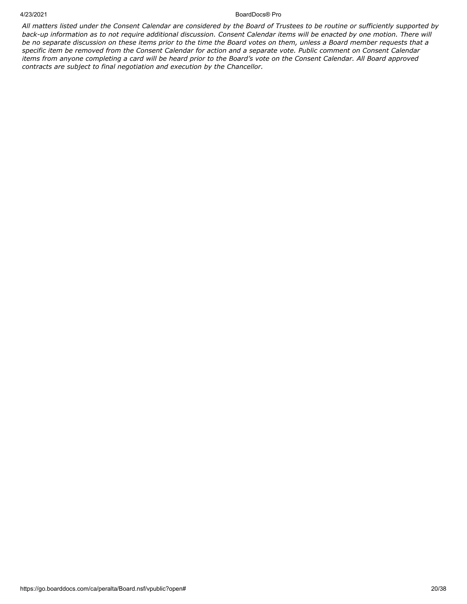*All matters listed under the Consent Calendar are considered by the Board of Trustees to be routine or sufficiently supported by back-up information as to not require additional discussion. Consent Calendar items will be enacted by one motion. There will be no separate discussion on these items prior to the time the Board votes on them, unless a Board member requests that a specific item be removed from the Consent Calendar for action and a separate vote. Public comment on Consent Calendar items from anyone completing a card will be heard prior to the Board's vote on the Consent Calendar. All Board approved contracts are subject to final negotiation and execution by the Chancellor.*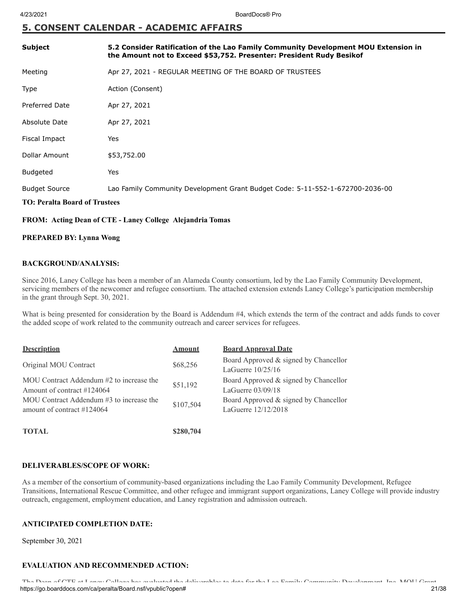## **5. CONSENT CALENDAR - ACADEMIC AFFAIRS**

| <b>Subject</b>                       | 5.2 Consider Ratification of the Lao Family Community Development MOU Extension in<br>the Amount not to Exceed \$53,752. Presenter: President Rudy Besikof |
|--------------------------------------|------------------------------------------------------------------------------------------------------------------------------------------------------------|
| Meeting                              | Apr 27, 2021 - REGULAR MEETING OF THE BOARD OF TRUSTEES                                                                                                    |
| Type                                 | Action (Consent)                                                                                                                                           |
| <b>Preferred Date</b>                | Apr 27, 2021                                                                                                                                               |
| Absolute Date                        | Apr 27, 2021                                                                                                                                               |
| Fiscal Impact                        | Yes                                                                                                                                                        |
| Dollar Amount                        | \$53,752.00                                                                                                                                                |
| <b>Budgeted</b>                      | Yes                                                                                                                                                        |
| <b>Budget Source</b>                 | Lao Family Community Development Grant Budget Code: 5-11-552-1-672700-2036-00                                                                              |
| <b>TO: Peralta Board of Trustees</b> |                                                                                                                                                            |

#### **FROM: Acting Dean of CTE - Laney College Alejandria Tomas**

#### **PREPARED BY: Lynna Wong**

#### **BACKGROUND/ANALYSIS:**

Since 2016, Laney College has been a member of an Alameda County consortium, led by the Lao Family Community Development, servicing members of the newcomer and refugee consortium. The attached extension extends Laney College's participation membership in the grant through Sept. 30, 2021.

What is being presented for consideration by the Board is Addendum #4, which extends the term of the contract and adds funds to cover the added scope of work related to the community outreach and career services for refugees.

| <b>Description</b>                                                        | Amount    | <b>Board Approval Date</b>                                   |
|---------------------------------------------------------------------------|-----------|--------------------------------------------------------------|
| Original MOU Contract                                                     | \$68,256  | Board Approved & signed by Chancellor<br>LaGuerre $10/25/16$ |
| MOU Contract Addendum #2 to increase the<br>Amount of contract #124064    | \$51,192  | Board Approved & signed by Chancellor<br>LaGuerre $03/09/18$ |
| MOU Contract Addendum #3 to increase the<br>amount of contract $\#124064$ | \$107,504 | Board Approved & signed by Chancellor<br>LaGuerre 12/12/2018 |
| <b>TOTAL</b>                                                              | \$280,704 |                                                              |

#### **DELIVERABLES/SCOPE OF WORK:**

As a member of the consortium of community-based organizations including the Lao Family Community Development, Refugee Transitions, International Rescue Committee, and other refugee and immigrant support organizations, Laney College will provide industry outreach, engagement, employment education, and Laney registration and admission outreach.

### **ANTICIPATED COMPLETION DATE:**

September 30, 2021

### **EVALUATION AND RECOMMENDED ACTION:**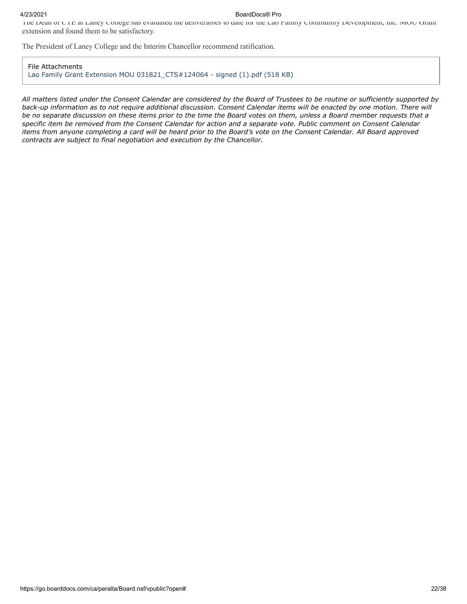The Dean of CTE at Laney College has evaluated the deliverables to date for the Lao Family Community Development, Inc. MOU Grant extension and found them to be satisfactory.

The President of Laney College and the Interim Chancellor recommend ratification.

File Attachments [Lao Family Grant Extension MOU 031821\\_CTS#124064 - signed \(1\).pdf \(518 KB\)](https://go.boarddocs.com/ca/peralta/Board.nsf/files/C246TQ16822A/$file/Lao%20Family%20Grant%20Extension%20MOU%20031821_CTS%23124064%20-%20signed%20(1).pdf)

*All matters listed under the Consent Calendar are considered by the Board of Trustees to be routine or sufficiently supported by back-up information as to not require additional discussion. Consent Calendar items will be enacted by one motion. There will be no separate discussion on these items prior to the time the Board votes on them, unless a Board member requests that a specific item be removed from the Consent Calendar for action and a separate vote. Public comment on Consent Calendar items from anyone completing a card will be heard prior to the Board's vote on the Consent Calendar. All Board approved contracts are subject to final negotiation and execution by the Chancellor.*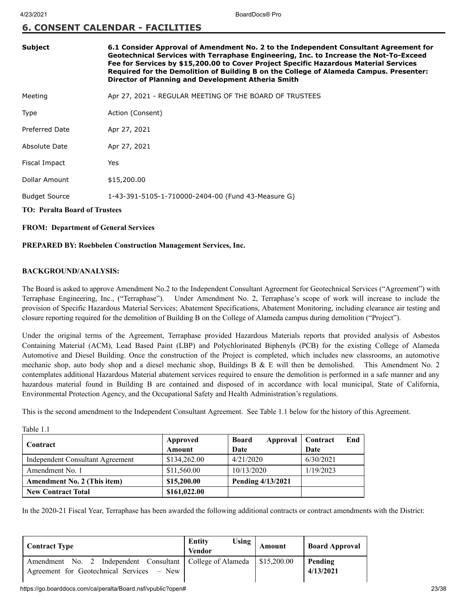## **6. CONSENT CALENDAR - FACILITIES**

| <b>Subject</b>                       | 6.1 Consider Approval of Amendment No. 2 to the Independent Consultant Agreement for<br>Geotechnical Services with Terraphase Engineering, Inc. to Increase the Not-To-Exceed<br>Fee for Services by \$15,200.00 to Cover Project Specific Hazardous Material Services<br>Required for the Demolition of Building B on the College of Alameda Campus. Presenter:<br>Director of Planning and Development Atheria Smith |  |
|--------------------------------------|------------------------------------------------------------------------------------------------------------------------------------------------------------------------------------------------------------------------------------------------------------------------------------------------------------------------------------------------------------------------------------------------------------------------|--|
| Meeting                              | Apr 27, 2021 - REGULAR MEETING OF THE BOARD OF TRUSTEES                                                                                                                                                                                                                                                                                                                                                                |  |
| Type                                 | Action (Consent)                                                                                                                                                                                                                                                                                                                                                                                                       |  |
| Preferred Date                       | Apr 27, 2021                                                                                                                                                                                                                                                                                                                                                                                                           |  |
| Absolute Date                        | Apr 27, 2021                                                                                                                                                                                                                                                                                                                                                                                                           |  |
| Fiscal Impact                        | Yes                                                                                                                                                                                                                                                                                                                                                                                                                    |  |
| Dollar Amount                        | \$15,200.00                                                                                                                                                                                                                                                                                                                                                                                                            |  |
| <b>Budget Source</b>                 | 1-43-391-5105-1-710000-2404-00 (Fund 43-Measure G)                                                                                                                                                                                                                                                                                                                                                                     |  |
| <b>TO: Peralta Board of Trustees</b> |                                                                                                                                                                                                                                                                                                                                                                                                                        |  |
|                                      |                                                                                                                                                                                                                                                                                                                                                                                                                        |  |

#### **FROM: Department of General Services**

#### **PREPARED BY: Roebbelen Construction Management Services, Inc.**

#### **BACKGROUND/ANALYSIS:**

Table 1.1

The Board is asked to approve Amendment No.2 to the Independent Consultant Agreement for Geotechnical Services ("Agreement") with Terraphase Engineering, Inc., ("Terraphase"). Under Amendment No. 2, Terraphase's scope of work will increase to include the provision of Specific Hazardous Material Services; Abatement Specifications, Abatement Monitoring, including clearance air testing and closure reporting required for the demolition of Building B on the College of Alameda campus during demolition ("Project").

Under the original terms of the Agreement, Terraphase provided Hazardous Materials reports that provided analysis of Asbestos Containing Material (ACM), Lead Based Paint (LBP) and Polychlorinated Biphenyls (PCB) for the existing College of Alameda Automotive and Diesel Building. Once the construction of the Project is completed, which includes new classrooms, an automotive mechanic shop, auto body shop and a diesel mechanic shop, Buildings B & E will then be demolished. This Amendment No. 2 contemplates additional Hazardous Material abatement services required to ensure the demolition is performed in a safe manner and any hazardous material found in Building B are contained and disposed of in accordance with local municipal, State of California, Environmental Protection Agency, and the Occupational Safety and Health Administration's regulations.

This is the second amendment to the Independent Consultant Agreement. See Table 1.1 below for the history of this Agreement.

| Contract                                | Approved<br>Amount | <b>Board</b><br>Approval   Contract<br>Date | End<br>Date |
|-----------------------------------------|--------------------|---------------------------------------------|-------------|
| <b>Independent Consultant Agreement</b> | \$134,262.00       | 4/21/2020                                   | 6/30/2021   |
| Amendment No. 1                         | \$11,560.00        | 10/13/2020                                  | 1/19/2023   |
| <b>Amendment No. 2 (This item)</b>      | \$15,200.00        | Pending 4/13/2021                           |             |
| <b>New Contract Total</b>               | \$161,022.00       |                                             |             |

In the 2020-21 Fiscal Year, Terraphase has been awarded the following additional contracts or contract amendments with the District:

| <b>Contract Type</b>                                                                                     | <b>Using</b><br><b>Entity</b><br><b>Vendor</b> | <b>Amount</b> | <b>Board Approval</b> |
|----------------------------------------------------------------------------------------------------------|------------------------------------------------|---------------|-----------------------|
| Amendment No. 2 Independent Consultant   College of Alameda<br>Agreement for Geotechnical Services – New |                                                | \$15,200.00   | Pending<br>4/13/2021  |

#### https://go.boarddocs.com/ca/peralta/Board.nsf/vpublic?open# 23/38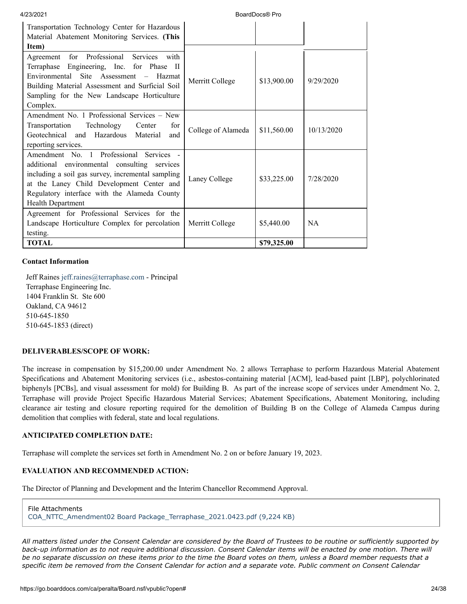| 4/23/2021                                                                                                                                                                                                                                                             |                    | BoardDocs® Pro |            |
|-----------------------------------------------------------------------------------------------------------------------------------------------------------------------------------------------------------------------------------------------------------------------|--------------------|----------------|------------|
| Transportation Technology Center for Hazardous<br>Material Abatement Monitoring Services. (This<br>Item)                                                                                                                                                              |                    |                |            |
| Agreement for Professional Services<br>with<br>Terraphase Engineering, Inc. for Phase II<br>Environmental Site Assessment – Hazmat<br>Building Material Assessment and Surficial Soil<br>Sampling for the New Landscape Horticulture<br>Complex.                      | Merritt College    | \$13,900.00    | 9/29/2020  |
| Amendment No. 1 Professional Services – New<br>Technology<br>Transportation<br>Center<br>for<br>Geotechnical and Hazardous Material<br>and<br>reporting services.                                                                                                     | College of Alameda | \$11,560.00    | 10/13/2020 |
| Amendment No. 1 Professional Services -<br>additional environmental consulting services<br>including a soil gas survey, incremental sampling<br>at the Laney Child Development Center and<br>Regulatory interface with the Alameda County<br><b>Health Department</b> | Laney College      | \$33,225.00    | 7/28/2020  |
| Agreement for Professional Services for the<br>Landscape Horticulture Complex for percolation<br>testing.                                                                                                                                                             | Merritt College    | \$5,440.00     | <b>NA</b>  |
| <b>TOTAL</b>                                                                                                                                                                                                                                                          |                    | \$79,325.00    |            |

#### **Contact Information**

Jeff Raines [jeff.raines@terraphase.com](mailto:jeff.raines@terraphase.com) - Principal Terraphase Engineering Inc. 1404 Franklin St. Ste 600 Oakland, CA 94612 510-645-1850 510-645-1853 (direct)

#### **DELIVERABLES/SCOPE OF WORK:**

The increase in compensation by \$15,200.00 under Amendment No. 2 allows Terraphase to perform Hazardous Material Abatement Specifications and Abatement Monitoring services (i.e., asbestos-containing material [ACM], lead-based paint [LBP], polychlorinated biphenyls [PCBs], and visual assessment for mold) for Building B. As part of the increase scope of services under Amendment No. 2, Terraphase will provide Project Specific Hazardous Material Services; Abatement Specifications, Abatement Monitoring, including clearance air testing and closure reporting required for the demolition of Building B on the College of Alameda Campus during demolition that complies with federal, state and local regulations.

#### **ANTICIPATED COMPLETION DATE:**

Terraphase will complete the services set forth in Amendment No. 2 on or before January 19, 2023.

#### **EVALUATION AND RECOMMENDED ACTION:**

The Director of Planning and Development and the Interim Chancellor Recommend Approval.

File Attachments [COA\\_NTTC\\_Amendment02 Board Package\\_Terraphase\\_2021.0423.pdf \(9,224 KB\)](https://go.boarddocs.com/ca/peralta/Board.nsf/files/C2CUR97D465E/$file/COA_NTTC_Amendment02%20Board%20Package_Terraphase_2021.0423.pdf)

*All matters listed under the Consent Calendar are considered by the Board of Trustees to be routine or sufficiently supported by back-up information as to not require additional discussion. Consent Calendar items will be enacted by one motion. There will be no separate discussion on these items prior to the time the Board votes on them, unless a Board member requests that a specific item be removed from the Consent Calendar for action and a separate vote. Public comment on Consent Calendar*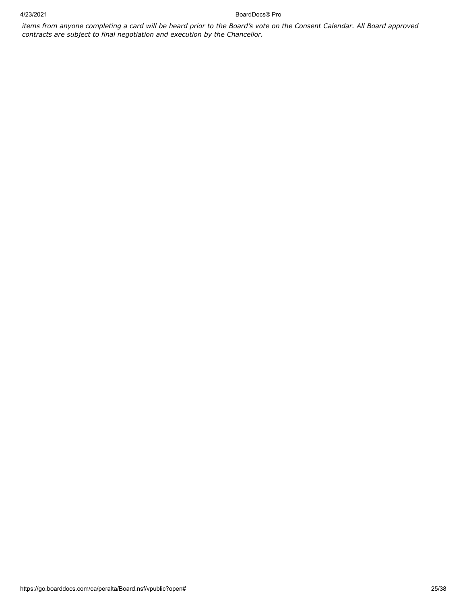*items from anyone completing a card will be heard prior to the Board's vote on the Consent Calendar. All Board approved contracts are subject to final negotiation and execution by the Chancellor.*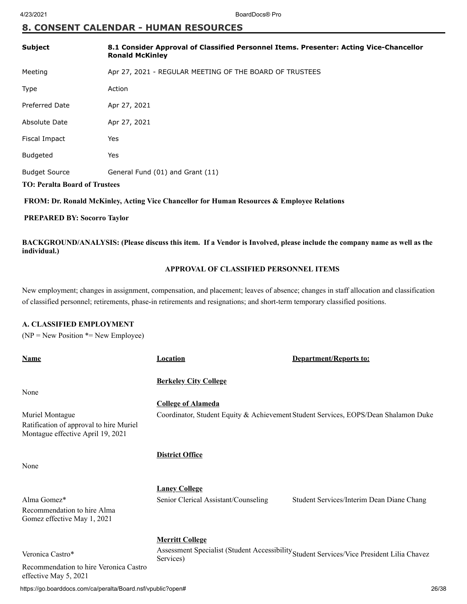## **8. CONSENT CALENDAR - HUMAN RESOURCES**

| <b>Subject</b>                                                                             | 8.1 Consider Approval of Classified Personnel Items. Presenter: Acting Vice-Chancellor<br><b>Ronald McKinley</b> |  |
|--------------------------------------------------------------------------------------------|------------------------------------------------------------------------------------------------------------------|--|
| Meeting                                                                                    | Apr 27, 2021 - REGULAR MEETING OF THE BOARD OF TRUSTEES                                                          |  |
| Type                                                                                       | Action                                                                                                           |  |
| <b>Preferred Date</b>                                                                      | Apr 27, 2021                                                                                                     |  |
| Absolute Date                                                                              | Apr 27, 2021                                                                                                     |  |
| Fiscal Impact                                                                              | Yes                                                                                                              |  |
| <b>Budgeted</b>                                                                            | Yes                                                                                                              |  |
| <b>Budget Source</b>                                                                       | General Fund (01) and Grant (11)                                                                                 |  |
| <b>TO: Peralta Board of Trustees</b>                                                       |                                                                                                                  |  |
| FROM: Dr. Ronald McKinley, Acting Vice Chancellor for Human Resources & Employee Relations |                                                                                                                  |  |

#### **PREPARED BY: Socorro Taylor**

**BACKGROUND/ANALYSIS: (Please discuss this item. If a Vendor is Involved, please include the company name as well as the individual.)**

#### **APPROVAL OF CLASSIFIED PERSONNEL ITEMS**

New employment; changes in assignment, compensation, and placement; leaves of absence; changes in staff allocation and classification of classified personnel; retirements, phase-in retirements and resignations; and short-term temporary classified positions.

#### **A. CLASSIFIED EMPLOYMENT**

 $(NP = New Position * = New Employee)$ 

| <b>Name</b>                                                                  | <b>Location</b>                      | <b>Department/Reports to:</b>                                                             |
|------------------------------------------------------------------------------|--------------------------------------|-------------------------------------------------------------------------------------------|
|                                                                              | <b>Berkeley City College</b>         |                                                                                           |
| None                                                                         |                                      |                                                                                           |
|                                                                              | <b>College of Alameda</b>            |                                                                                           |
| Muriel Montague                                                              |                                      | Coordinator, Student Equity & Achievement Student Services, EOPS/Dean Shalamon Duke       |
| Ratification of approval to hire Muriel<br>Montague effective April 19, 2021 |                                      |                                                                                           |
|                                                                              | <b>District Office</b>               |                                                                                           |
| None                                                                         |                                      |                                                                                           |
|                                                                              | <b>Laney College</b>                 |                                                                                           |
| Alma Gomez*                                                                  | Senior Clerical Assistant/Counseling | Student Services/Interim Dean Diane Chang                                                 |
| Recommendation to hire Alma<br>Gomez effective May 1, 2021                   |                                      |                                                                                           |
|                                                                              | <b>Merritt College</b>               |                                                                                           |
| Veronica Castro*                                                             | Services)                            | Assessment Specialist (Student Accessibility Student Services/Vice President Lilia Chavez |
| Recommendation to hire Veronica Castro<br>effective May 5, 2021              |                                      |                                                                                           |

https://go.boarddocs.com/ca/peralta/Board.nsf/vpublic?open# 26/38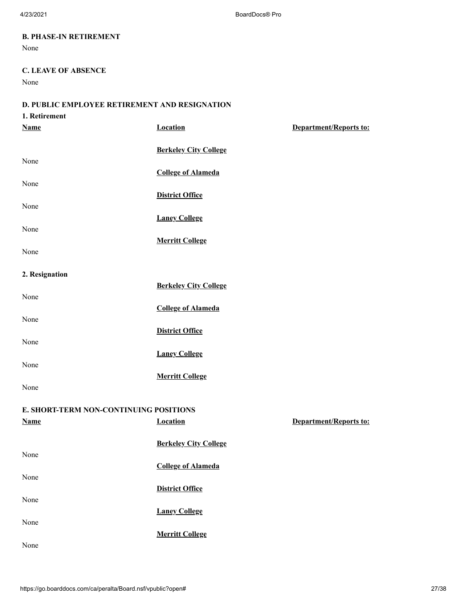### **B. PHASE-IN RETIREMENT**

None

### **C. LEAVE OF ABSENCE**

None

## **D. PUBLIC EMPLOYEE RETIREMENT AND RESIGNATION**

| 1. Retirement                          |                              |                               |
|----------------------------------------|------------------------------|-------------------------------|
| <b>Name</b>                            | <b>Location</b>              | Department/Reports to:        |
|                                        |                              |                               |
|                                        | <b>Berkeley City College</b> |                               |
| None                                   |                              |                               |
|                                        | <b>College of Alameda</b>    |                               |
| None                                   |                              |                               |
| None                                   | <b>District Office</b>       |                               |
|                                        | <b>Laney College</b>         |                               |
| None                                   |                              |                               |
|                                        | <b>Merritt College</b>       |                               |
| None                                   |                              |                               |
|                                        |                              |                               |
| 2. Resignation                         |                              |                               |
|                                        | <b>Berkeley City College</b> |                               |
| None                                   |                              |                               |
|                                        | <b>College of Alameda</b>    |                               |
| None                                   |                              |                               |
| None                                   | <b>District Office</b>       |                               |
|                                        | <b>Laney College</b>         |                               |
| None                                   |                              |                               |
|                                        | <b>Merritt College</b>       |                               |
| None                                   |                              |                               |
|                                        |                              |                               |
| E. SHORT-TERM NON-CONTINUING POSITIONS |                              |                               |
| <b>Name</b>                            | <b>Location</b>              | <b>Department/Reports to:</b> |
|                                        |                              |                               |
|                                        | <b>Berkeley City College</b> |                               |
| None                                   |                              |                               |
| None                                   | <b>College of Alameda</b>    |                               |
|                                        | <b>District Office</b>       |                               |
| None                                   |                              |                               |
|                                        | <b>Laney College</b>         |                               |
| None                                   |                              |                               |
|                                        | <b>Merritt College</b>       |                               |
| None                                   |                              |                               |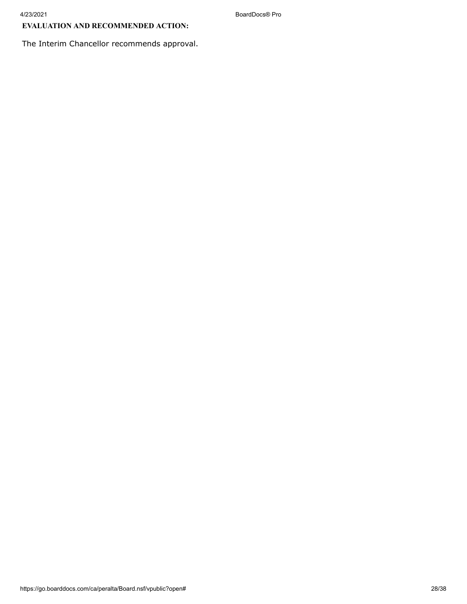## **EVALUATION AND RECOMMENDED ACTION:**

The Interim Chancellor recommends approval.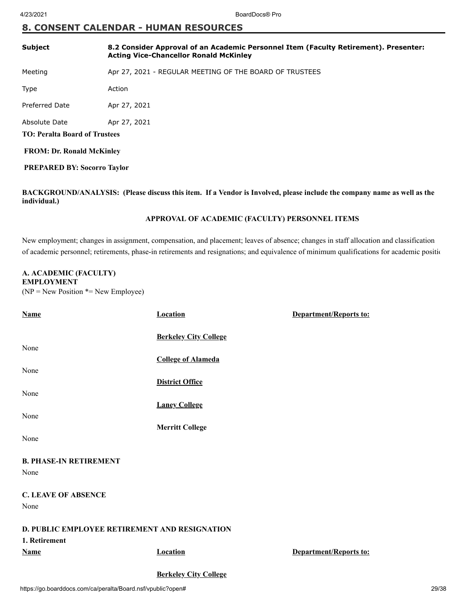## **8. CONSENT CALENDAR - HUMAN RESOURCES**

| <b>Subject</b>                       | 8.2 Consider Approval of an Academic Personnel Item (Faculty Retirement). Presenter:<br><b>Acting Vice-Chancellor Ronald McKinley</b> |  |
|--------------------------------------|---------------------------------------------------------------------------------------------------------------------------------------|--|
| Meeting                              | Apr 27, 2021 - REGULAR MEETING OF THE BOARD OF TRUSTEES                                                                               |  |
| Type                                 | Action                                                                                                                                |  |
| Preferred Date                       | Apr 27, 2021                                                                                                                          |  |
| Absolute Date                        | Apr 27, 2021                                                                                                                          |  |
| <b>TO: Peralta Board of Trustees</b> |                                                                                                                                       |  |
| <b>FROM: Dr. Ronald McKinley</b>     |                                                                                                                                       |  |
| <b>PREPARED BY: Socorro Taylor</b>   |                                                                                                                                       |  |
|                                      |                                                                                                                                       |  |

**BACKGROUND/ANALYSIS: (Please discuss this item. If a Vendor is Involved, please include the company name as well as the individual.)**

#### **APPROVAL OF ACADEMIC (FACULTY) PERSONNEL ITEMS**

New employment; changes in assignment, compensation, and placement; leaves of absence; changes in staff allocation and classification of academic personnel; retirements, phase-in retirements and resignations; and equivalence of minimum qualifications for academic positio

#### **A. ACADEMIC (FACULTY) EMPLOYMENT**

 $(NP = New Position * = New Employee)$ 

| <b>Name</b>                                          | <b>Location</b>              | Department/Reports to: |
|------------------------------------------------------|------------------------------|------------------------|
|                                                      | <b>Berkeley City College</b> |                        |
| None                                                 |                              |                        |
| None                                                 | <b>College of Alameda</b>    |                        |
|                                                      | <b>District Office</b>       |                        |
| None                                                 |                              |                        |
|                                                      | <b>Laney College</b>         |                        |
| None                                                 |                              |                        |
|                                                      | <b>Merritt College</b>       |                        |
| None                                                 |                              |                        |
| <b>B. PHASE-IN RETIREMENT</b>                        |                              |                        |
| None                                                 |                              |                        |
|                                                      |                              |                        |
| <b>C. LEAVE OF ABSENCE</b>                           |                              |                        |
| None                                                 |                              |                        |
| <b>D. PUBLIC EMPLOYEE RETIREMENT AND RESIGNATION</b> |                              |                        |
| 1. Retirement                                        |                              |                        |
| <b>Name</b>                                          | <b>Location</b>              | Department/Reports to: |
|                                                      | <b>Berkeley City College</b> |                        |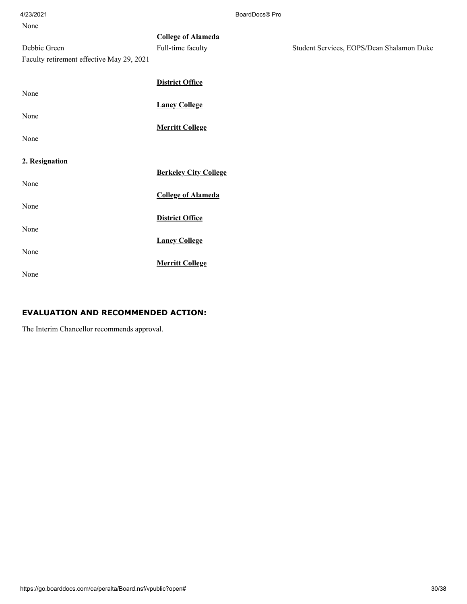| None                                      |                              |                                           |
|-------------------------------------------|------------------------------|-------------------------------------------|
|                                           | <b>College of Alameda</b>    |                                           |
| Debbie Green                              | Full-time faculty            | Student Services, EOPS/Dean Shalamon Duke |
| Faculty retirement effective May 29, 2021 |                              |                                           |
|                                           |                              |                                           |
|                                           | <b>District Office</b>       |                                           |
| None                                      |                              |                                           |
|                                           | <b>Laney College</b>         |                                           |
| None                                      |                              |                                           |
|                                           | <b>Merritt College</b>       |                                           |
| None                                      |                              |                                           |
|                                           |                              |                                           |
| 2. Resignation                            |                              |                                           |
|                                           | <b>Berkeley City College</b> |                                           |
| None                                      |                              |                                           |
|                                           | <b>College of Alameda</b>    |                                           |
| None                                      |                              |                                           |
|                                           | <b>District Office</b>       |                                           |
| None                                      |                              |                                           |
| None                                      | <b>Laney College</b>         |                                           |
|                                           |                              |                                           |
|                                           | <b>Merritt College</b>       |                                           |
| None                                      |                              |                                           |

## **EVALUATION AND RECOMMENDED ACTION:**

The Interim Chancellor recommends approval.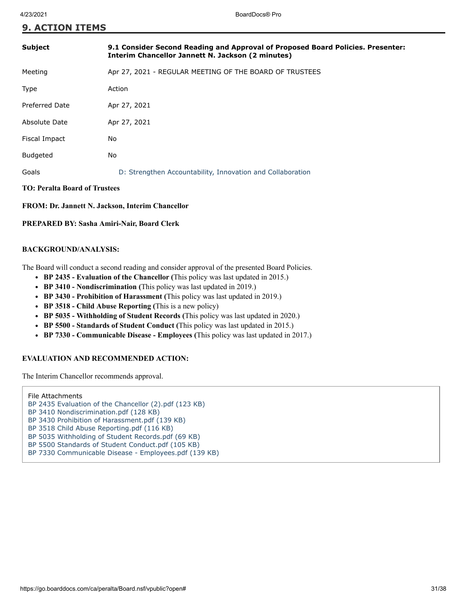## **9. ACTION ITEMS**

| <b>Subject</b>                       | 9.1 Consider Second Reading and Approval of Proposed Board Policies. Presenter:<br><b>Interim Chancellor Jannett N. Jackson (2 minutes)</b> |  |
|--------------------------------------|---------------------------------------------------------------------------------------------------------------------------------------------|--|
| Meeting                              | Apr 27, 2021 - REGULAR MEETING OF THE BOARD OF TRUSTEES                                                                                     |  |
| <b>Type</b>                          | Action                                                                                                                                      |  |
| Preferred Date                       | Apr 27, 2021                                                                                                                                |  |
| Absolute Date                        | Apr 27, 2021                                                                                                                                |  |
| Fiscal Impact                        | No                                                                                                                                          |  |
| <b>Budgeted</b>                      | No                                                                                                                                          |  |
| Goals                                | D: Strengthen Accountability, Innovation and Collaboration                                                                                  |  |
| <b>TO: Peralta Board of Trustees</b> |                                                                                                                                             |  |

**FROM: Dr. Jannett N. Jackson, Interim Chancellor**

**PREPARED BY: Sasha Amiri-Nair, Board Clerk**

#### **BACKGROUND/ANALYSIS:**

The Board will conduct a second reading and consider approval of the presented Board Policies.

- **BP 2435 Evaluation of the Chancellor (**This policy was last updated in 2015.)
- **BP 3410 Nondiscrimination (**This policy was last updated in 2019.)
- **BP 3430 Prohibition of Harassment (**This policy was last updated in 2019.)
- **BP 3518 Child Abuse Reporting (**This is a new policy)
- **BP 5035 Withholding of Student Records (**This policy was last updated in 2020.)
- **BP 5500 Standards of Student Conduct (**This policy was last updated in 2015.)
- **BP 7330 Communicable Disease Employees (**This policy was last updated in 2017.)

#### **EVALUATION AND RECOMMENDED ACTION:**

The Interim Chancellor recommends approval.

File Attachments [BP 2435 Evaluation of the Chancellor \(2\).pdf \(123 KB\)](https://go.boarddocs.com/ca/peralta/Board.nsf/files/C24RLE6D0157/$file/BP%202435%20Evaluation%20of%20the%20Chancellor%20(2).pdf) [BP 3410 Nondiscrimination.pdf \(128 KB\)](https://go.boarddocs.com/ca/peralta/Board.nsf/files/C24RLC6D0084/$file/BP%203410%20Nondiscrimination.pdf) [BP 3430 Prohibition of Harassment.pdf \(139 KB\)](https://go.boarddocs.com/ca/peralta/Board.nsf/files/C24RL86CFFA2/$file/BP%203430%20Prohibition%20of%20Harassment.pdf) [BP 3518 Child Abuse Reporting.pdf \(116 KB\)](https://go.boarddocs.com/ca/peralta/Board.nsf/files/C24RL66CFEC3/$file/BP%203518%20Child%20Abuse%20Reporting.pdf) [BP 5035 Withholding of Student Records.pdf \(69 KB\)](https://go.boarddocs.com/ca/peralta/Board.nsf/files/C24RL46CFDB7/$file/BP%205035%20Withholding%20of%20Student%20Records.pdf)

- [BP 5500 Standards of Student Conduct.pdf \(105 KB\)](https://go.boarddocs.com/ca/peralta/Board.nsf/files/C24RKY6CFCBA/$file/BP%205500%20Standards%20of%20Student%20Conduct.pdf)
- [BP 7330 Communicable Disease Employees.pdf \(139 KB\)](https://go.boarddocs.com/ca/peralta/Board.nsf/files/C24RKW6CF757/$file/BP%207330%20Communicable%20Disease%20-%20Employees.pdf)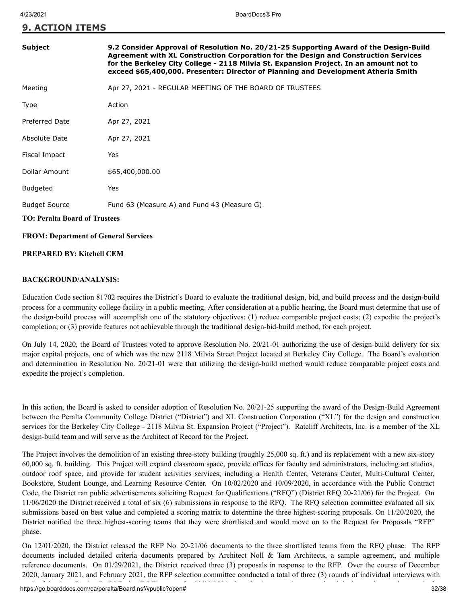**9. ACTION ITEMS**

| <b>Subject</b>                              | 9.2 Consider Approval of Resolution No. 20/21-25 Supporting Award of the Design-Build<br>Agreement with XL Construction Corporation for the Design and Construction Services<br>for the Berkeley City College - 2118 Milvia St. Expansion Project. In an amount not to<br>exceed \$65,400,000. Presenter: Director of Planning and Development Atheria Smith |  |
|---------------------------------------------|--------------------------------------------------------------------------------------------------------------------------------------------------------------------------------------------------------------------------------------------------------------------------------------------------------------------------------------------------------------|--|
| Meeting                                     | Apr 27, 2021 - REGULAR MEETING OF THE BOARD OF TRUSTEES                                                                                                                                                                                                                                                                                                      |  |
| Type                                        | Action                                                                                                                                                                                                                                                                                                                                                       |  |
| <b>Preferred Date</b>                       | Apr 27, 2021                                                                                                                                                                                                                                                                                                                                                 |  |
| Absolute Date                               | Apr 27, 2021                                                                                                                                                                                                                                                                                                                                                 |  |
| Fiscal Impact                               | Yes                                                                                                                                                                                                                                                                                                                                                          |  |
| Dollar Amount                               | \$65,400,000.00                                                                                                                                                                                                                                                                                                                                              |  |
| Budgeted                                    | Yes                                                                                                                                                                                                                                                                                                                                                          |  |
| <b>Budget Source</b>                        | Fund 63 (Measure A) and Fund 43 (Measure G)                                                                                                                                                                                                                                                                                                                  |  |
| <b>TO: Peralta Board of Trustees</b>        |                                                                                                                                                                                                                                                                                                                                                              |  |
| <b>FROM: Department of General Services</b> |                                                                                                                                                                                                                                                                                                                                                              |  |

#### **PREPARED BY: Kitchell CEM**

#### **BACKGROUND/ANALYSIS:**

Education Code section 81702 requires the District's Board to evaluate the traditional design, bid, and build process and the design-build process for a community college facility in a public meeting. After consideration at a public hearing, the Board must determine that use of the design-build process will accomplish one of the statutory objectives: (1) reduce comparable project costs; (2) expedite the project's completion; or (3) provide features not achievable through the traditional design-bid-build method, for each project.

On July 14, 2020, the Board of Trustees voted to approve Resolution No. 20/21-01 authorizing the use of design-build delivery for six major capital projects, one of which was the new 2118 Milvia Street Project located at Berkeley City College. The Board's evaluation and determination in Resolution No. 20/21-01 were that utilizing the design-build method would reduce comparable project costs and expedite the project's completion.

In this action, the Board is asked to consider adoption of Resolution No. 20/21-25 supporting the award of the Design-Build Agreement between the Peralta Community College District ("District") and XL Construction Corporation ("XL") for the design and construction services for the Berkeley City College - 2118 Milvia St. Expansion Project ("Project"). Ratcliff Architects, Inc. is a member of the XL design-build team and will serve as the Architect of Record for the Project.

The Project involves the demolition of an existing three-story building (roughly 25,000 sq. ft.) and its replacement with a new six-story 60,000 sq. ft. building. This Project will expand classroom space, provide offices for faculty and administrators, including art studios, outdoor roof space, and provide for student activities services; including a Health Center, Veterans Center, Multi-Cultural Center, Bookstore, Student Lounge, and Learning Resource Center. On 10/02/2020 and 10/09/2020, in accordance with the Public Contract Code, the District ran public advertisements soliciting Request for Qualifications ("RFQ") (District RFQ 20-21/06) for the Project. On 11/06/2020 the District received a total of six (6) submissions in response to the RFQ. The RFQ selection committee evaluated all six submissions based on best value and completed a scoring matrix to determine the three highest-scoring proposals. On 11/20/2020, the District notified the three highest-scoring teams that they were shortlisted and would move on to the Request for Proposals "RFP" phase.

On 12/01/2020, the District released the RFP No. 20-21/06 documents to the three shortlisted teams from the RFQ phase. The RFP documents included detailed criteria documents prepared by Architect Noll & Tam Architects, a sample agreement, and multiple reference documents. On 01/29/2021, the District received three (3) proposals in response to the RFP. Over the course of December 2020, January 2021, and February 2021, the RFP selection committee conducted a total of three (3) rounds of individual interviews with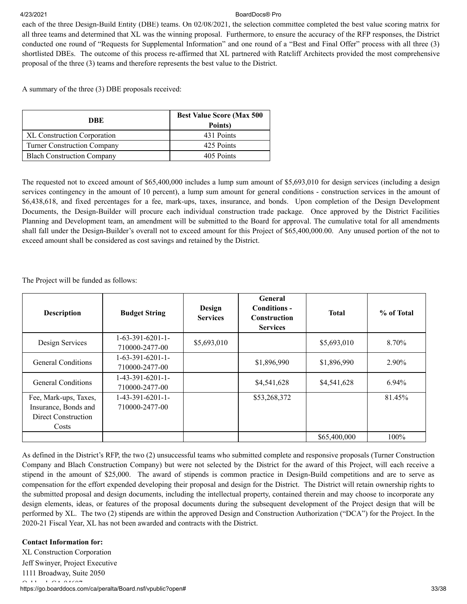each of the three Design-Build Entity (DBE) teams. On 02/08/2021, the selection committee completed the best value scoring matrix for all three teams and determined that XL was the winning proposal. Furthermore, to ensure the accuracy of the RFP responses, the District conducted one round of "Requests for Supplemental Information" and one round of a "Best and Final Offer" process with all three (3) shortlisted DBEs. The outcome of this process re-affirmed that XL partnered with Ratcliff Architects provided the most comprehensive proposal of the three (3) teams and therefore represents the best value to the District.

A summary of the three (3) DBE proposals received:

| DBE                                | <b>Best Value Score (Max 500)</b><br>Points) |  |
|------------------------------------|----------------------------------------------|--|
| <b>XL Construction Corporation</b> | 431 Points                                   |  |
| <b>Turner Construction Company</b> | 425 Points                                   |  |
| <b>Blach Construction Company</b>  | 405 Points                                   |  |

The requested not to exceed amount of \$65,400,000 includes a lump sum amount of \$5,693,010 for design services (including a design services contingency in the amount of 10 percent), a lump sum amount for general conditions - construction services in the amount of \$6,438,618, and fixed percentages for a fee, mark-ups, taxes, insurance, and bonds. Upon completion of the Design Development Documents, the Design-Builder will procure each individual construction trade package. Once approved by the District Facilities Planning and Development team, an amendment will be submitted to the Board for approval. The cumulative total for all amendments shall fall under the Design-Builder's overall not to exceed amount for this Project of \$65,400,000.00. Any unused portion of the not to exceed amount shall be considered as cost savings and retained by the District.

The Project will be funded as follows:

| <b>Description</b>                                                            | <b>Budget String</b>                 | Design<br><b>Services</b> | <b>General</b><br>Conditions -<br><b>Construction</b><br><b>Services</b> | <b>Total</b> | % of Total |
|-------------------------------------------------------------------------------|--------------------------------------|---------------------------|--------------------------------------------------------------------------|--------------|------------|
| Design Services                                                               | $1-63-391-6201-1-$<br>710000-2477-00 | \$5,693,010               |                                                                          | \$5,693,010  | 8.70%      |
| <b>General Conditions</b>                                                     | $1-63-391-6201-1-$<br>710000-2477-00 |                           | \$1,896,990                                                              | \$1,896,990  | 2.90%      |
| <b>General Conditions</b>                                                     | $1-43-391-6201-1-$<br>710000-2477-00 |                           | \$4,541,628                                                              | \$4,541,628  | $6.94\%$   |
| Fee, Mark-ups, Taxes,<br>Insurance, Bonds and<br>Direct Construction<br>Costs | $1-43-391-6201-1-$<br>710000-2477-00 |                           | \$53,268,372                                                             |              | 81.45%     |
|                                                                               |                                      |                           |                                                                          | \$65,400,000 | 100%       |

As defined in the District's RFP, the two (2) unsuccessful teams who submitted complete and responsive proposals (Turner Construction Company and Blach Construction Company) but were not selected by the District for the award of this Project, will each receive a stipend in the amount of \$25,000. The award of stipends is common practice in Design-Build competitions and are to serve as compensation for the effort expended developing their proposal and design for the District. The District will retain ownership rights to the submitted proposal and design documents, including the intellectual property, contained therein and may choose to incorporate any design elements, ideas, or features of the proposal documents during the subsequent development of the Project design that will be performed by XL. The two (2) stipends are within the approved Design and Construction Authorization ("DCA") for the Project. In the 2020-21 Fiscal Year, XL has not been awarded and contracts with the District.

#### **Contact Information for:**

https://go.boarddocs.com/ca/peralta/Board.nsf/vpublic?open# 33/38 XL Construction Corporation Jeff Swinyer, Project Executive 1111 Broadway, Suite 2050  $\bigcap_{n=1}^{\infty}$  11 d  $\bigcap_{n=1}^{\infty}$  04607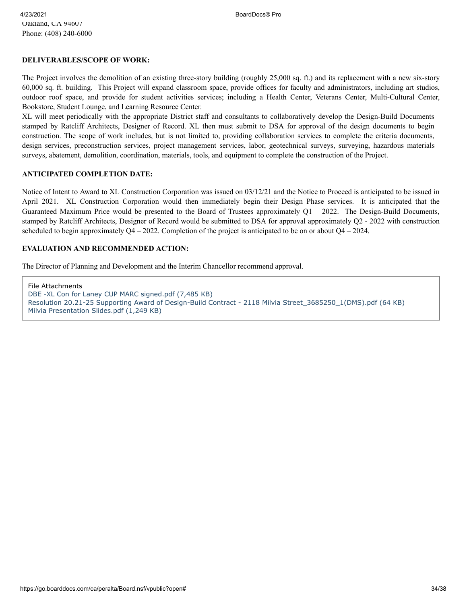#### **DELIVERABLES/SCOPE OF WORK:**

The Project involves the demolition of an existing three-story building (roughly 25,000 sq. ft.) and its replacement with a new six-story 60,000 sq. ft. building. This Project will expand classroom space, provide offices for faculty and administrators, including art studios, outdoor roof space, and provide for student activities services; including a Health Center, Veterans Center, Multi-Cultural Center, Bookstore, Student Lounge, and Learning Resource Center.

XL will meet periodically with the appropriate District staff and consultants to collaboratively develop the Design-Build Documents stamped by Ratcliff Architects, Designer of Record. XL then must submit to DSA for approval of the design documents to begin construction. The scope of work includes, but is not limited to, providing collaboration services to complete the criteria documents, design services, preconstruction services, project management services, labor, geotechnical surveys, surveying, hazardous materials surveys, abatement, demolition, coordination, materials, tools, and equipment to complete the construction of the Project.

#### **ANTICIPATED COMPLETION DATE:**

Notice of Intent to Award to XL Construction Corporation was issued on 03/12/21 and the Notice to Proceed is anticipated to be issued in April 2021. XL Construction Corporation would then immediately begin their Design Phase services. It is anticipated that the Guaranteed Maximum Price would be presented to the Board of Trustees approximately  $Q1 - 2022$ . The Design-Build Documents, stamped by Ratcliff Architects, Designer of Record would be submitted to DSA for approval approximately Q2 - 2022 with construction scheduled to begin approximately  $Q4 - 2022$ . Completion of the project is anticipated to be on or about  $Q4 - 2024$ .

#### **EVALUATION AND RECOMMENDED ACTION:**

The Director of Planning and Development and the Interim Chancellor recommend approval.

File Attachments [DBE -XL Con for Laney CUP MARC signed.pdf \(7,485 KB\)](https://go.boarddocs.com/ca/peralta/Board.nsf/files/BZWKPW52C1AA/$file/DBE%20-XL%20Con%20for%20Laney%20CUP%20MARC%20signed.pdf) [Resolution 20.21-25 Supporting Award of Design-Build Contract - 2118 Milvia Street\\_3685250\\_1\(DMS\).pdf \(64 KB\)](https://go.boarddocs.com/ca/peralta/Board.nsf/files/BZWKRG530F8B/$file/Resolution%2020.21-25%20Supporting%20Award%20of%20Design-Build%20Contract%20-%202118%20Milvia%20Street_3685250_1(DMS).pdf) [Milvia Presentation Slides.pdf \(1,249 KB\)](https://go.boarddocs.com/ca/peralta/Board.nsf/files/C2CS7R715630/$file/Milvia%20Presentation%20Slides.pdf)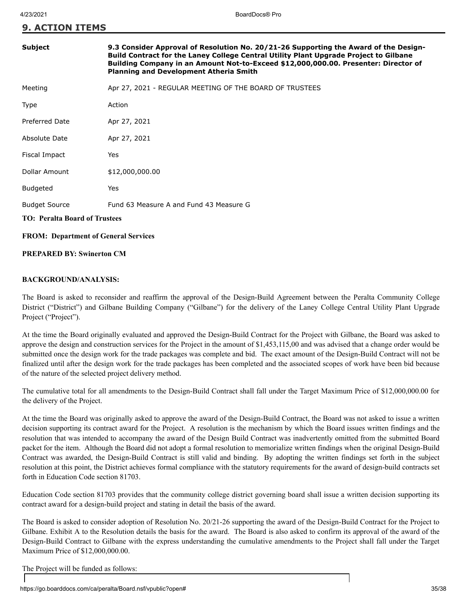**9. ACTION ITEMS**

| Subject                                     | 9.3 Consider Approval of Resolution No. 20/21-26 Supporting the Award of the Design-<br>Build Contract for the Laney College Central Utility Plant Upgrade Project to Gilbane<br>Building Company in an Amount Not-to-Exceed \$12,000,000.00. Presenter: Director of<br><b>Planning and Development Atheria Smith</b> |  |  |
|---------------------------------------------|-----------------------------------------------------------------------------------------------------------------------------------------------------------------------------------------------------------------------------------------------------------------------------------------------------------------------|--|--|
| Meeting                                     | Apr 27, 2021 - REGULAR MEETING OF THE BOARD OF TRUSTEES                                                                                                                                                                                                                                                               |  |  |
| Type                                        | Action                                                                                                                                                                                                                                                                                                                |  |  |
| <b>Preferred Date</b>                       | Apr 27, 2021                                                                                                                                                                                                                                                                                                          |  |  |
| Absolute Date                               | Apr 27, 2021                                                                                                                                                                                                                                                                                                          |  |  |
| Fiscal Impact                               | Yes                                                                                                                                                                                                                                                                                                                   |  |  |
| Dollar Amount                               | \$12,000,000.00                                                                                                                                                                                                                                                                                                       |  |  |
| <b>Budgeted</b>                             | Yes                                                                                                                                                                                                                                                                                                                   |  |  |
| <b>Budget Source</b>                        | Fund 63 Measure A and Fund 43 Measure G                                                                                                                                                                                                                                                                               |  |  |
| <b>TO: Peralta Board of Trustees</b>        |                                                                                                                                                                                                                                                                                                                       |  |  |
| <b>FROM: Department of General Services</b> |                                                                                                                                                                                                                                                                                                                       |  |  |

#### **PREPARED BY: Swinerton CM**

#### **BACKGROUND/ANALYSIS:**

The Board is asked to reconsider and reaffirm the approval of the Design-Build Agreement between the Peralta Community College District ("District") and Gilbane Building Company ("Gilbane") for the delivery of the Laney College Central Utility Plant Upgrade Project ("Project").

At the time the Board originally evaluated and approved the Design-Build Contract for the Project with Gilbane, the Board was asked to approve the design and construction services for the Project in the amount of \$1,453,115,00 and was advised that a change order would be submitted once the design work for the trade packages was complete and bid. The exact amount of the Design-Build Contract will not be finalized until after the design work for the trade packages has been completed and the associated scopes of work have been bid because of the nature of the selected project delivery method.

The cumulative total for all amendments to the Design-Build Contract shall fall under the Target Maximum Price of \$12,000,000.00 for the delivery of the Project.

At the time the Board was originally asked to approve the award of the Design-Build Contract, the Board was not asked to issue a written decision supporting its contract award for the Project. A resolution is the mechanism by which the Board issues written findings and the resolution that was intended to accompany the award of the Design Build Contract was inadvertently omitted from the submitted Board packet for the item. Although the Board did not adopt a formal resolution to memorialize written findings when the original Design-Build Contract was awarded, the Design-Build Contract is still valid and binding. By adopting the written findings set forth in the subject resolution at this point, the District achieves formal compliance with the statutory requirements for the award of design-build contracts set forth in Education Code section 81703.

Education Code section 81703 provides that the community college district governing board shall issue a written decision supporting its contract award for a design-build project and stating in detail the basis of the award.

The Board is asked to consider adoption of Resolution No. 20/21-26 supporting the award of the Design-Build Contract for the Project to Gilbane. Exhibit A to the Resolution details the basis for the award. The Board is also asked to confirm its approval of the award of the Design-Build Contract to Gilbane with the express understanding the cumulative amendments to the Project shall fall under the Target Maximum Price of \$12,000,000.00.

The Project will be funded as follows: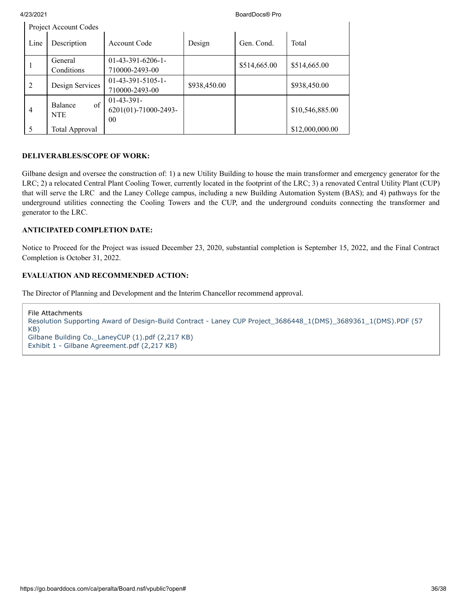|                | Project Account Codes               |                                                        |              |              |                 |
|----------------|-------------------------------------|--------------------------------------------------------|--------------|--------------|-----------------|
| Line           | Description                         | Account Code                                           | Design       | Gen. Cond.   | Total           |
| 1              | General<br>Conditions               | $01-43-391-6206-1-$<br>710000-2493-00                  |              | \$514,665.00 | \$514,665.00    |
| 2              | Design Services                     | $01-43-391-5105-1-$<br>710000-2493-00                  | \$938,450.00 |              | \$938,450.00    |
| $\overline{4}$ | $\sigma$ f<br>Balance<br><b>NTE</b> | $01-43-391-$<br>6201(01)-71000-2493-<br>0 <sub>0</sub> |              |              | \$10,546,885.00 |
| 5              | Total Approval                      |                                                        |              |              | \$12,000,000.00 |

### **DELIVERABLES/SCOPE OF WORK:**

Gilbane design and oversee the construction of: 1) a new Utility Building to house the main transformer and emergency generator for the LRC; 2) a relocated Central Plant Cooling Tower, currently located in the footprint of the LRC; 3) a renovated Central Utility Plant (CUP) that will serve the LRC and the Laney College campus, including a new Building Automation System (BAS); and 4) pathways for the underground utilities connecting the Cooling Towers and the CUP, and the underground conduits connecting the transformer and generator to the LRC.

#### **ANTICIPATED COMPLETION DATE:**

Notice to Proceed for the Project was issued December 23, 2020, substantial completion is September 15, 2022, and the Final Contract Completion is October 31, 2022.

#### **EVALUATION AND RECOMMENDED ACTION:**

The Director of Planning and Development and the Interim Chancellor recommend approval.

File Attachments [Resolution Supporting Award of Design-Build Contract - Laney CUP Project\\_3686448\\_1\(DMS\)\\_3689361\\_1\(DMS\).PDF \(57](https://go.boarddocs.com/ca/peralta/Board.nsf/files/BZZJH44D259A/$file/Resolution%20Supporting%20Award%20of%20Design-Build%20Contract%20-%20Laney%20CUP%20Project_3686448_1(DMS)_3689361_1(DMS).PDF) KB) [Gilbane Building Co.\\_LaneyCUP \(1\).pdf \(2,217 KB\)](https://go.boarddocs.com/ca/peralta/Board.nsf/files/C2AMKB5A5D1A/$file/Gilbane%20Building%20Co._LaneyCUP%20(1).pdf) [Exhibit 1 - Gilbane Agreement.pdf \(2,217 KB\)](https://go.boarddocs.com/ca/peralta/Board.nsf/files/C2BGY5453A9C/$file/Exhibit%201%20-%20Gilbane%20Agreement.pdf)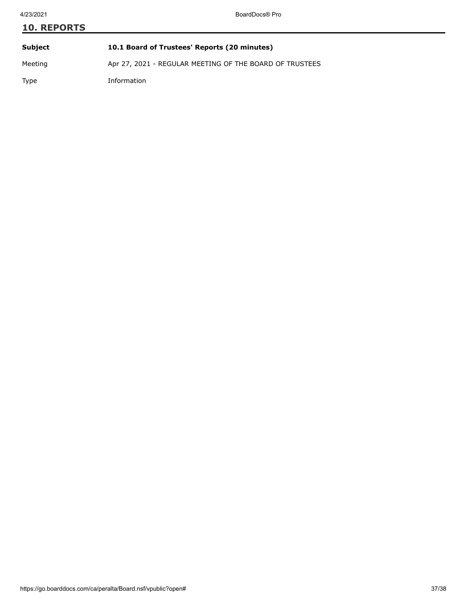# **10. REPORTS Subject 10.1 Board of Trustees' Reports (20 minutes)** Meeting Apr 27, 2021 - REGULAR MEETING OF THE BOARD OF TRUSTEES

Type Information